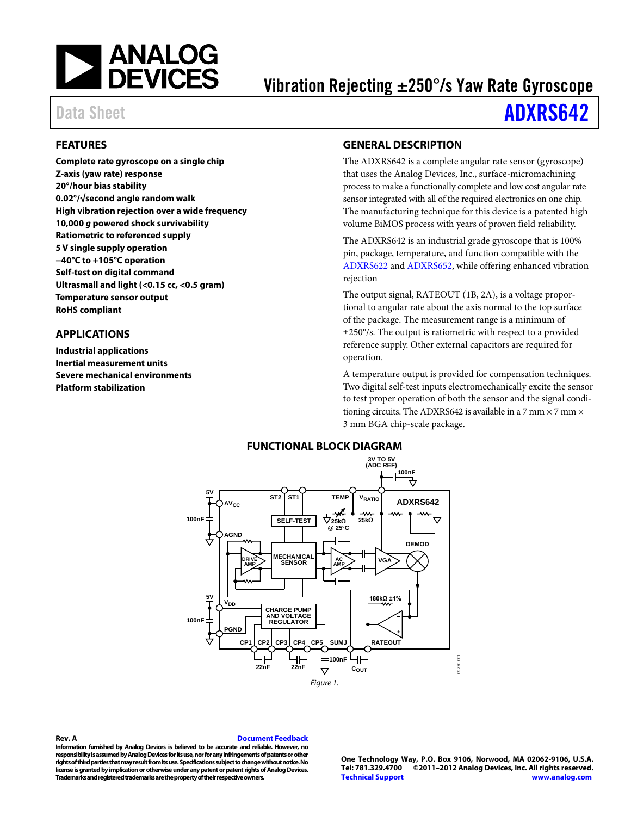<span id="page-0-3"></span>

# Vibration Rejecting ±250°/s Yaw Rate Gyroscope

# Data Sheet **[ADXRS642](http://www.analog.com/ADXRS642)**

## <span id="page-0-0"></span>**FEATURES**

**Complete rate gyroscope on a single chip Z-axis (yaw rate) response 20°/hour bias stability 0.02°/√second angle random walk High vibration rejection over a wide frequency 10,000** *g* **powered shock survivability Ratiometric to referenced supply 5 V single supply operation −40°C to +105°C operation Self-test on digital command Ultrasmall and light (<0.15 cc, <0.5 gram) Temperature sensor output RoHS compliant**

## <span id="page-0-1"></span>**APPLICATIONS**

**Industrial applications Inertial measurement units Severe mechanical environments Platform stabilization**

## <span id="page-0-2"></span>**GENERAL DESCRIPTION**

The ADXRS642 is a complete angular rate sensor (gyroscope) that uses the Analog Devices, Inc., surface-micromachining process to make a functionally complete and low cost angular rate sensor integrated with all of the required electronics on one chip. The manufacturing technique for this device is a patented high volume BiMOS process with years of proven field reliability.

The ADXRS642 is an industrial grade gyroscope that is 100% pin, package, temperature, and function compatible with the [ADXRS622](http://www.analog.com/ADXRS622) and [ADXRS652,](http://www.analog.com/ADXRS652) while offering enhanced vibration rejection

The output signal, RATEOUT (1B, 2A), is a voltage proportional to angular rate about the axis normal to the top surface of the package. The measurement range is a minimum of ±250°/s. The output is ratiometric with respect to a provided reference supply. Other external capacitors are required for operation.

A temperature output is provided for compensation techniques. Two digital self-test inputs electromechanically excite the sensor to test proper operation of both the sensor and the signal conditioning circuits. The ADXRS642 is available in a 7 mm  $\times$  7 mm  $\times$ 3 mm BGA chip-scale package.



### **Rev. A [Document Feedback](https://form.analog.com/Form_Pages/feedback/documentfeedback.aspx?doc=ADXRS642.pdf&page=%201&product=ADXRS642&rev=A)**

**Information furnished by Analog Devices is believed to be accurate and reliable. However, no responsibility is assumed by Analog Devices for its use, nor for any infringements of patents or other rights of third parties that may result from its use. Specifications subject to change without notice. No license is granted by implication or otherwise under any patent or patent rights of Analog Devices. Trademarks and registered trademarks are the property of their respective owners.**

**One Technology Way, P.O. Box 9106, Norwood, MA 02062-9106, U.S.A. Tel: 781.329.4700 ©2011–2012 Analog Devices, Inc. All rights reserved. [Technical Support](http://www.analog.com/en/content/technical_support_page/fca.html) [www.analog.com](http://www.analog.com/)**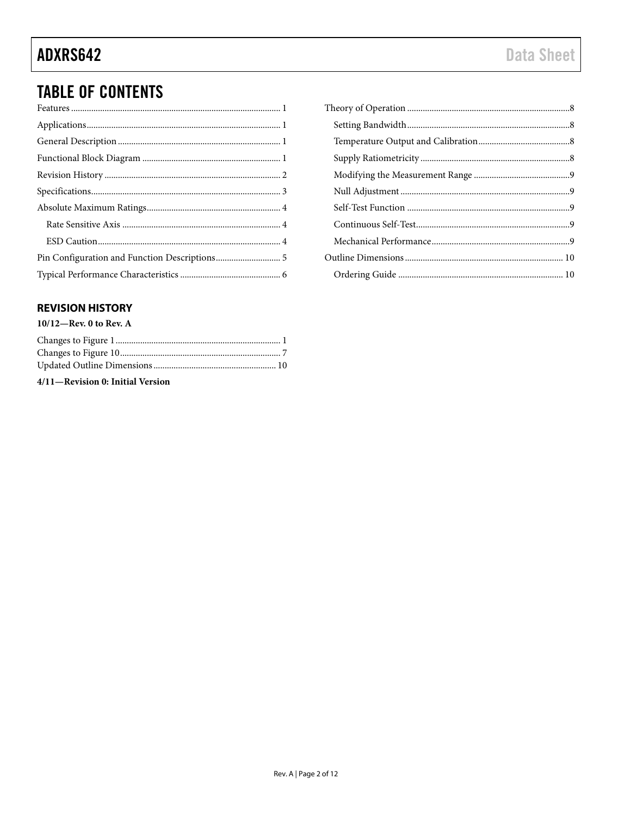# **TABLE OF CONTENTS**

## <span id="page-1-0"></span>**REVISION HISTORY**

## $10/12$ —Rev. 0 to Rev. A

4/11-Revision 0: Initial Version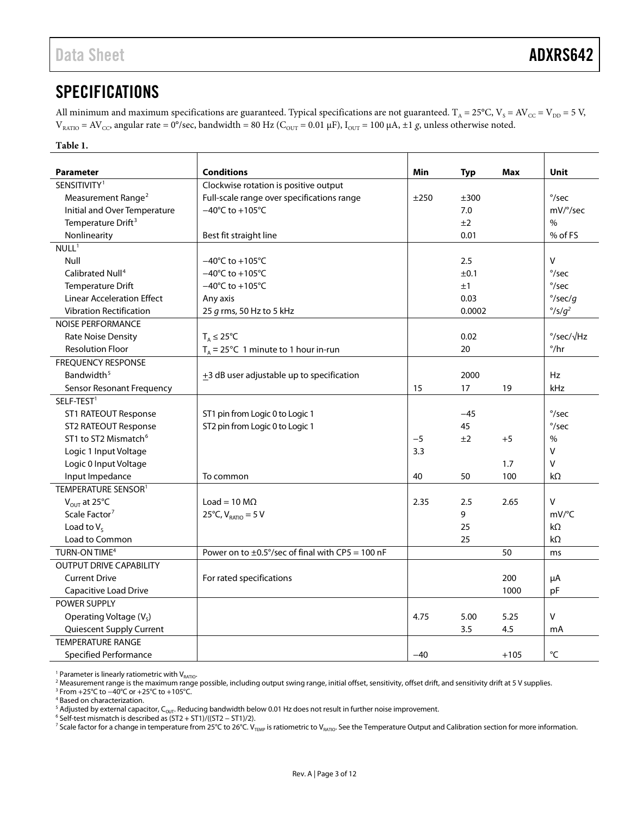# <span id="page-2-0"></span>**SPECIFICATIONS**

All minimum and maximum specifications are guaranteed. Typical specifications are not guaranteed. T<sub>A</sub> = 25°C, V<sub>S</sub> = AV<sub>CC</sub> = V<sub>DD</sub> = 5 V,  $V_{RATIO} = AV_{CC}$ , angular rate = 0°/sec, bandwidth = 80 Hz ( $C_{OUT}$  = 0.01  $\mu$ F),  $I_{OUT}$  = 100  $\mu$ A, ±1 *g*, unless otherwise noted.

### **Table 1.**

| <b>Conditions</b><br><b>Parameter</b>                          |                                                       | Min   |        | <b>Max</b> | Unit                        |
|----------------------------------------------------------------|-------------------------------------------------------|-------|--------|------------|-----------------------------|
| SENSITIVITY <sup>1</sup>                                       | Clockwise rotation is positive output                 |       | Typ    |            |                             |
|                                                                | Full-scale range over specifications range            |       | ±300   |            | $\degree$ /sec              |
| Measurement Range <sup>2</sup><br>Initial and Over Temperature | $-40^{\circ}$ C to $+105^{\circ}$ C                   | ±250  | 7.0    |            | mV/°/sec                    |
|                                                                |                                                       |       |        |            |                             |
| Temperature Drift <sup>3</sup>                                 | ±2                                                    |       |        |            | $\%$<br>% of FS             |
| Nonlinearity                                                   | Best fit straight line                                |       | 0.01   |            |                             |
| NULL <sup>1</sup>                                              |                                                       |       |        |            | $\vee$                      |
| Null                                                           | $-40^{\circ}$ C to $+105^{\circ}$ C                   |       | 2.5    |            |                             |
| Calibrated Null <sup>4</sup>                                   | $-40^{\circ}$ C to $+105^{\circ}$ C                   |       | ±0.1   |            | $\degree$ /sec              |
| <b>Temperature Drift</b>                                       | $-40^{\circ}$ C to $+105^{\circ}$ C                   |       | ±1     |            | $\degree$ /sec              |
| <b>Linear Acceleration Effect</b>                              | Any axis                                              |       | 0.03   |            | $\degree$ /sec/g            |
| <b>Vibration Rectification</b>                                 | 25 g rms, 50 Hz to 5 kHz                              |       | 0.0002 |            | $\degree$ /s/g <sup>2</sup> |
| <b>NOISE PERFORMANCE</b>                                       |                                                       |       |        |            |                             |
| Rate Noise Density                                             | $T_A \leq 25^{\circ}C$                                |       | 0.02   |            | $\degree$ /sec/ $\sqrt{Hz}$ |
| <b>Resolution Floor</b>                                        | $T_A = 25^{\circ}$ C 1 minute to 1 hour in-run        |       | 20     |            | $^{\circ}/\text{hr}$        |
| <b>FREOUENCY RESPONSE</b>                                      |                                                       |       |        |            |                             |
| Bandwidth <sup>5</sup>                                         | +3 dB user adjustable up to specification             |       | 2000   |            | Hz                          |
| Sensor Resonant Frequency                                      |                                                       |       | 17     | 19         | kHz                         |
| SELF-TEST <sup>1</sup>                                         |                                                       |       |        |            |                             |
| ST1 RATEOUT Response                                           | ST1 pin from Logic 0 to Logic 1                       |       | $-45$  |            | $\degree$ /sec              |
| ST2 RATEOUT Response                                           | ST2 pin from Logic 0 to Logic 1                       |       | 45     |            | $\degree$ /sec              |
| ST1 to ST2 Mismatch <sup>6</sup>                               |                                                       | $-5$  | ±2     | $+5$       | $\frac{0}{0}$               |
| Logic 1 Input Voltage                                          |                                                       | 3.3   |        |            | V                           |
| Logic 0 Input Voltage                                          |                                                       |       |        | 1.7        | v                           |
| Input Impedance                                                | To common                                             |       | 50     | 100        | kΩ                          |
| TEMPERATURE SENSOR <sup>1</sup>                                |                                                       |       |        |            |                             |
| $V_{OUT}$ at 25°C                                              | Load = $10 \text{ M}\Omega$                           | 2.35  | 2.5    | 2.65       | v                           |
| Scale Factor <sup>7</sup><br>25°C, $V_{RATIO} = 5 V$<br>9      |                                                       |       | mV/°C  |            |                             |
| Load to $V_s$                                                  | 25                                                    |       |        | kΩ         |                             |
| Load to Common                                                 |                                                       |       | 25     |            | $k\Omega$                   |
| TURN-ON TIME <sup>4</sup>                                      | Power on to $\pm$ 0.5°/sec of final with CP5 = 100 nF |       |        | 50         | ms                          |
| <b>OUTPUT DRIVE CAPABILITY</b>                                 |                                                       |       |        |            |                             |
| <b>Current Drive</b>                                           | For rated specifications                              |       |        | 200        | μA                          |
| Capacitive Load Drive                                          |                                                       |       |        | 1000       | pF                          |
| <b>POWER SUPPLY</b>                                            |                                                       |       |        |            |                             |
| Operating Voltage (V <sub>s</sub> )                            |                                                       | 4.75  | 5.00   | 5.25       | v                           |
| Quiescent Supply Current                                       |                                                       |       | 3.5    | 4.5        | mA                          |
| <b>TEMPERATURE RANGE</b>                                       |                                                       |       |        |            |                             |
| <b>Specified Performance</b>                                   |                                                       | $-40$ |        | $+105$     | °C                          |

<span id="page-2-2"></span><span id="page-2-1"></span>

<sup>1</sup> Parameter is linearly ratiometric with V<sub>BATIO</sub>.<br><sup>2</sup> Measurement range is the maximum range possible, including output swing range, initial offset, sensitivity, offset drift, and sensitivity drift at 5 V supplies.<br><sup>3</sup>

<span id="page-2-4"></span><span id="page-2-3"></span><sup>4</sup> Based on characterization.

<span id="page-2-5"></span><sup>5</sup> Adjusted by external capacitor, C<sub>OUT</sub>. Reducing bandwidth below 0.01 Hz does not result in further noise improvement.<br><sup>6</sup> Self-test mismatch is described as (ST2 + ST1)/((ST2 − ST1)/2).

<span id="page-2-7"></span><span id="page-2-6"></span><sup>7</sup> Scale factor for a change in temperature from 25°C to 26°C. V<sub>TEMP</sub> is ratiometric to V<sub>RATIO</sub>. See th[e Temperature Output and Calibration](#page-7-2) section for more information.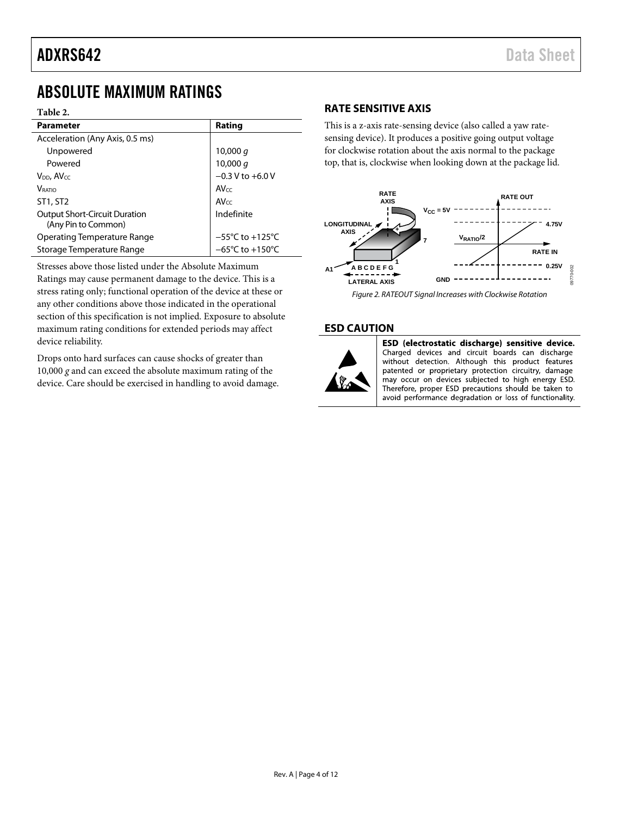# <span id="page-3-0"></span>ABSOLUTE MAXIMUM RATINGS

### **Table 2.**

| <b>Parameter</b>                                            | Rating                               |  |
|-------------------------------------------------------------|--------------------------------------|--|
| Acceleration (Any Axis, 0.5 ms)                             |                                      |  |
| Unpowered                                                   | 10,000 $q$                           |  |
| Powered                                                     | 10,000 g                             |  |
| $V_{DD}$ , $AV_{CC}$                                        | $-0.3 V$ to $+6.0 V$                 |  |
| <b>V</b> RATIO                                              | AVcc                                 |  |
| ST1, ST2                                                    | $AV_{CC}$                            |  |
| <b>Output Short-Circuit Duration</b><br>(Any Pin to Common) | Indefinite                           |  |
| Operating Temperature Range                                 | $-55^{\circ}$ C to +125 $^{\circ}$ C |  |
| Storage Temperature Range                                   | $-65^{\circ}$ C to +150 $^{\circ}$ C |  |

Stresses above those listed under the Absolute Maximum Ratings may cause permanent damage to the device. This is a stress rating only; functional operation of the device at these or any other conditions above those indicated in the operational section of this specification is not implied. Exposure to absolute maximum rating conditions for extended periods may affect device reliability.

Drops onto hard surfaces can cause shocks of greater than 10,000 *g* and can exceed the absolute maximum rating of the device. Care should be exercised in handling to avoid damage.

## <span id="page-3-1"></span>**RATE SENSITIVE AXIS**

This is a z-axis rate-sensing device (also called a yaw ratesensing device). It produces a positive going output voltage for clockwise rotation about the axis normal to the package top, that is, clockwise when looking down at the package lid.



Figure 2. RATEOUT Signal Increases with Clockwise Rotation

### <span id="page-3-2"></span>**ESD CAUTION**



ESD (electrostatic discharge) sensitive device. Charged devices and circuit boards can discharge without detection. Although this product features patented or proprietary protection circuitry, damage may occur on devices subjected to high energy ESD. Therefore, proper ESD precautions should be taken to avoid performance degradation or loss of functionality.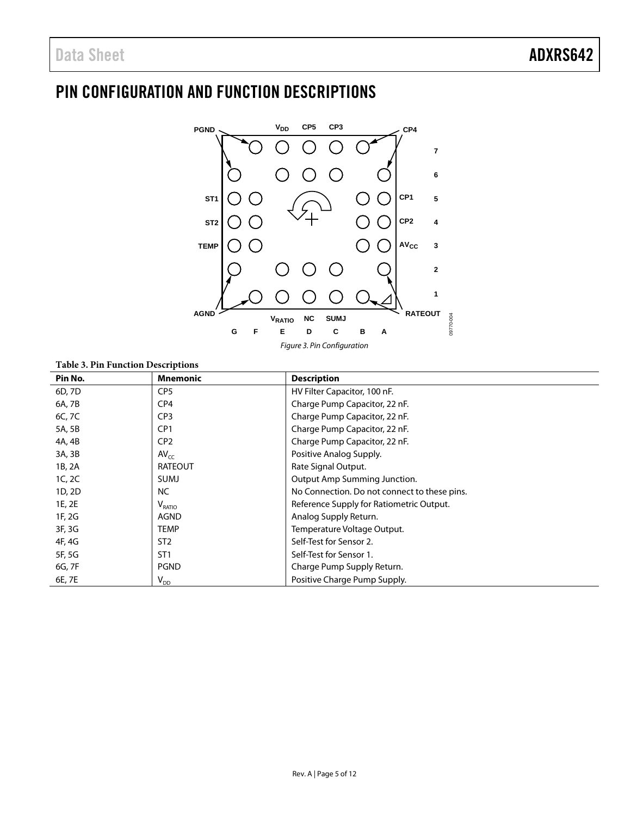# <span id="page-4-0"></span>PIN CONFIGURATION AND FUNCTION DESCRIPTIONS



*Figure 3. Pin Configuration*

## **Table 3. Pin Function Descriptions**

| Pin No. | <b>Mnemonic</b>            | <b>Description</b>                           |
|---------|----------------------------|----------------------------------------------|
| 6D, 7D  | CP <sub>5</sub>            | HV Filter Capacitor, 100 nF.                 |
| 6A, 7B  | CP4                        | Charge Pump Capacitor, 22 nF.                |
| 6C, 7C  | CP <sub>3</sub>            | Charge Pump Capacitor, 22 nF.                |
| 5A, 5B  | CP <sub>1</sub>            | Charge Pump Capacitor, 22 nF.                |
| 4A, 4B  | CP <sub>2</sub>            | Charge Pump Capacitor, 22 nF.                |
| 3A, 3B  | $AV_{cc}$                  | Positive Analog Supply.                      |
| 1B, 2A  | <b>RATEOUT</b>             | Rate Signal Output.                          |
| 1C, 2C  | SUMJ                       | Output Amp Summing Junction.                 |
| 1D, 2D  | NC.                        | No Connection. Do not connect to these pins. |
| 1E, 2E  | $V_{\text{RATIO}}$         | Reference Supply for Ratiometric Output.     |
| 1F, 2G  | AGND                       | Analog Supply Return.                        |
| 3F, 3G  | TEMP                       | Temperature Voltage Output.                  |
| 4F, 4G  | ST <sub>2</sub>            | Self-Test for Sensor 2.                      |
| 5F, 5G  | ST <sub>1</sub>            | Self-Test for Sensor 1.                      |
| 6G, 7F  | <b>PGND</b>                | Charge Pump Supply Return.                   |
| 6E, 7E  | $\mathsf{V}_{\mathsf{DD}}$ | Positive Charge Pump Supply.                 |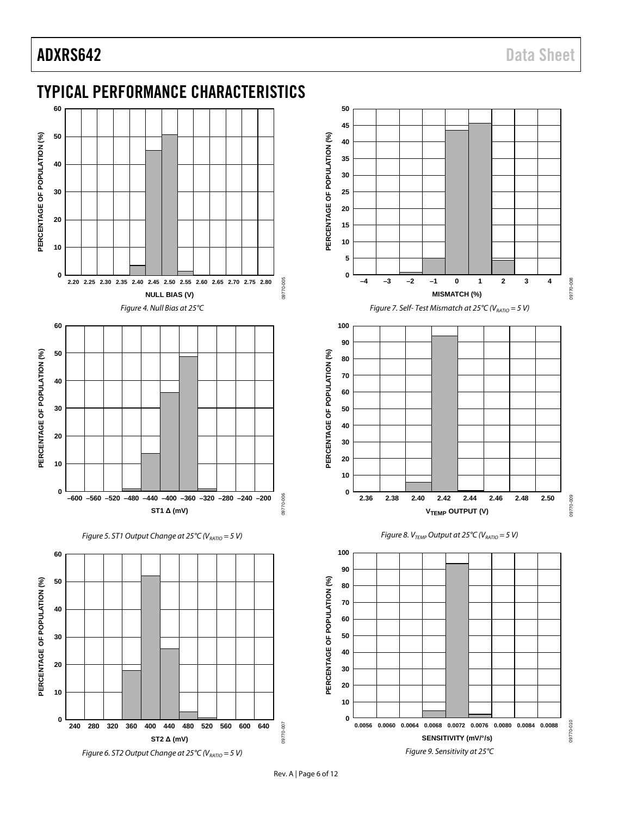# ADXRS642 Data Sheet

<span id="page-5-0"></span>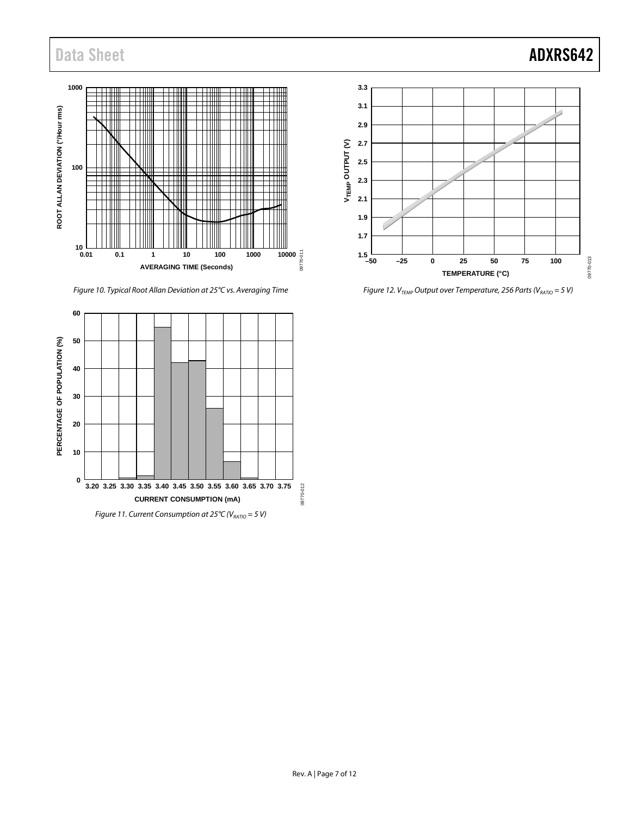# Data Sheet **ADXRS642**



*Figure 10. Typical Root Allan Deviation at 25°C vs. Averaging Time*



*Figure 11. Current Consumption at 25°C (V<sub>RATIO</sub> = 5 V)* 



*Figure 12. V<sub>TEMP</sub> Output over Temperature, 256 Parts (V<sub>RATIO</sub> = 5 V)*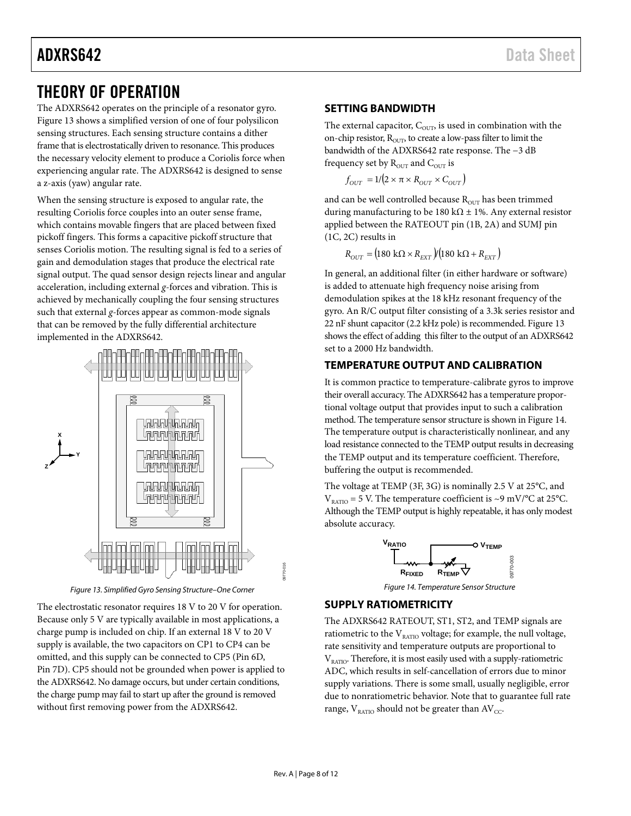# ADXRS642 Data Sheet

# <span id="page-7-0"></span>THEORY OF OPERATION

The ADXRS642 operates on the principle of a resonator gyro. [Figure 13](#page-7-4) shows a simplified version of one of four polysilicon sensing structures. Each sensing structure contains a dither frame that is electrostatically driven to resonance. This produces the necessary velocity element to produce a Coriolis force when experiencing angular rate. The ADXRS642 is designed to sense a z-axis (yaw) angular rate.

When the sensing structure is exposed to angular rate, the resulting Coriolis force couples into an outer sense frame, which contains movable fingers that are placed between fixed pickoff fingers. This forms a capacitive pickoff structure that senses Coriolis motion. The resulting signal is fed to a series of gain and demodulation stages that produce the electrical rate signal output. The quad sensor design rejects linear and angular acceleration, including external *g*-forces and vibration. This is achieved by mechanically coupling the four sensing structures such that external *g*-forces appear as common-mode signals that can be removed by the fully differential architecture implemented in the ADXRS642.



*Figure 13. Simplified Gyro Sensing Structure–One Corner*

<span id="page-7-4"></span>The electrostatic resonator requires 18 V to 20 V for operation. Because only 5 V are typically available in most applications, a charge pump is included on chip. If an external 18 V to 20 V supply is available, the two capacitors on CP1 to CP4 can be omitted, and this supply can be connected to CP5 (Pin 6D, Pin 7D). CP5 should not be grounded when power is applied to the ADXRS642. No damage occurs, but under certain conditions, the charge pump may fail to start up after the ground is removed without first removing power from the ADXRS642.

## <span id="page-7-1"></span>**SETTING BANDWIDTH**

The external capacitor,  $C_{\text{OUT}}$ , is used in combination with the on-chip resistor,  $R_{\text{OUT}}$ , to create a low-pass filter to limit the bandwidth of the ADXRS642 rate response. The −3 dB frequency set by  $R_{\text{OUT}}$  and  $C_{\text{OUT}}$  is

 $f_{OUT} = 1/(2 \times \pi \times R_{OUT} \times C_{OUT})$ 

and can be well controlled because  $R_{\text{OUT}}$  has been trimmed during manufacturing to be 180 k $\Omega$  ± 1%. Any external resistor applied between the RATEOUT pin (1B, 2A) and SUMJ pin (1C, 2C) results in

$$
R_{OUT} = (180 \text{ k}\Omega \times R_{EXT})/(180 \text{ k}\Omega + R_{EXT})
$$

In general, an additional filter (in either hardware or software) is added to attenuate high frequency noise arising from demodulation spikes at the 18 kHz resonant frequency of the gyro. An R/C output filter consisting of a 3.3k series resistor and 22 nF shunt capacitor (2.2 kHz pole) is recommended. [Figure 13](#page-7-4) shows the effect of adding this filter to the output of an ADXRS642 set to a 2000 Hz bandwidth.

## <span id="page-7-2"></span>**TEMPERATURE OUTPUT AND CALIBRATION**

It is common practice to temperature-calibrate gyros to improve their overall accuracy. The ADXRS642 has a temperature proportional voltage output that provides input to such a calibration method. The temperature sensor structure is shown i[n Figure 14.](#page-7-5) The temperature output is characteristically nonlinear, and any load resistance connected to the TEMP output results in decreasing the TEMP output and its temperature coefficient. Therefore, buffering the output is recommended.

The voltage at TEMP (3F, 3G) is nominally 2.5 V at 25°C, and  $V_{\text{RATIO}} = 5$  V. The temperature coefficient is ~9 mV/°C at 25°C. Although the TEMP output is highly repeatable, it has only modest absolute accuracy.



*Figure 14. Temperature Sensor Structure*

## <span id="page-7-5"></span><span id="page-7-3"></span>**SUPPLY RATIOMETRICITY**

The ADXRS642 RATEOUT, ST1, ST2, and TEMP signals are ratiometric to the  $\rm V_{\rm {RATIO}}$  voltage; for example, the null voltage, rate sensitivity and temperature outputs are proportional to  $V<sub>RATIO</sub>$ . Therefore, it is most easily used with a supply-ratiometric ADC, which results in self-cancellation of errors due to minor supply variations. There is some small, usually negligible, error due to nonratiometric behavior. Note that to guarantee full rate range,  $V_{\text{RATIO}}$  should not be greater than  $AV_{CC}$ .

09770-016

370-016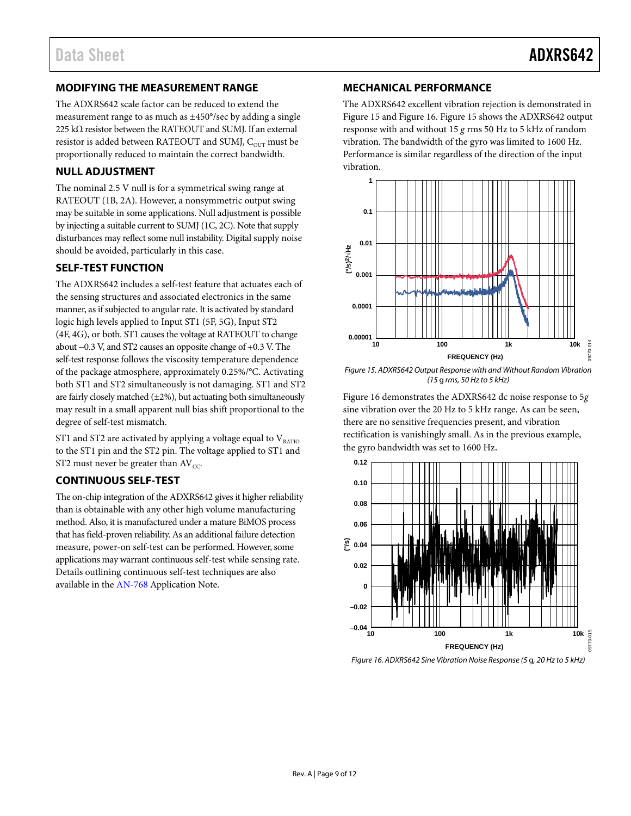## <span id="page-8-0"></span>**MODIFYING THE MEASUREMENT RANGE**

The ADXRS642 scale factor can be reduced to extend the measurement range to as much as ±450°/sec by adding a single 225 kΩ resistor between the RATEOUT and SUMJ. If an external resistor is added between RATEOUT and SUMJ,  $C_{\text{OUT}}$  must be proportionally reduced to maintain the correct bandwidth.

## <span id="page-8-1"></span>**NULL ADJUSTMENT**

The nominal 2.5 V null is for a symmetrical swing range at RATEOUT (1B, 2A). However, a nonsymmetric output swing may be suitable in some applications. Null adjustment is possible by injecting a suitable current to SUMJ (1C, 2C). Note that supply disturbances may reflect some null instability. Digital supply noise should be avoided, particularly in this case.

## <span id="page-8-2"></span>**SELF-TEST FUNCTION**

The ADXRS642 includes a self-test feature that actuates each of the sensing structures and associated electronics in the same manner, as if subjected to angular rate. It is activated by standard logic high levels applied to Input ST1 (5F, 5G), Input ST2 (4F, 4G), or both. ST1 causes the voltage at RATEOUT to change about −0.3 V, and ST2 causes an opposite change of +0.3 V. The self-test response follows the viscosity temperature dependence of the package atmosphere, approximately 0.25%/°C. Activating both ST1 and ST2 simultaneously is not damaging. ST1 and ST2 are fairly closely matched  $(\pm 2\%)$ , but actuating both simultaneously may result in a small apparent null bias shift proportional to the degree of self-test mismatch.

ST1 and ST2 are activated by applying a voltage equal to  $V_{RATIO}$ to the ST1 pin and the ST2 pin. The voltage applied to ST1 and ST2 must never be greater than  $AV_{CC}$ .

### <span id="page-8-3"></span>**CONTINUOUS SELF-TEST**

The on-chip integration of the ADXRS642 gives it higher reliability than is obtainable with any other high volume manufacturing method. Also, it is manufactured under a mature BiMOS process that has field-proven reliability. As an additional failure detection measure, power-on self-test can be performed. However, some applications may warrant continuous self-test while sensing rate. Details outlining continuous self-test techniques are also available in the [AN-768](http://www.analog.com/AN-768) Application Note.

## <span id="page-8-4"></span>**MECHANICAL PERFORMANCE**

The ADXRS642 excellent vibration rejection is demonstrated in [Figure 15](#page-8-5) an[d Figure 16.](#page-8-6) [Figure 15](#page-8-5) shows the ADXRS642 output response with and without 15 *g* rms 50 Hz to 5 kHz of random vibration. The bandwidth of the gyro was limited to 1600 Hz. Performance is similar regardless of the direction of the input vibration.



<span id="page-8-5"></span>*Figure 15. ADXRS642 Output Response with and Without Random Vibration (15* g *rms, 50 Hz to 5 kHz)*

[Figure 16](#page-8-6) demonstrates the ADXRS642 dc noise response to 5*g* sine vibration over the 20 Hz to 5 kHz range. As can be seen, there are no sensitive frequencies present, and vibration rectification is vanishingly small. As in the previous example, the gyro bandwidth was set to 1600 Hz.



<span id="page-8-6"></span>*Figure 16. ADXRS642 Sine Vibration Noise Response (5* g*, 20 Hz to 5 kHz)*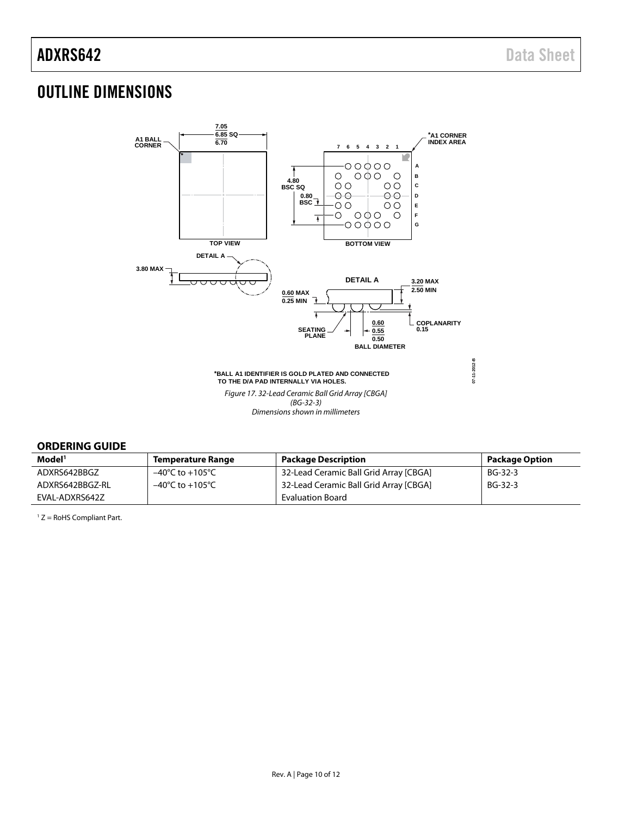# <span id="page-9-0"></span>OUTLINE DIMENSIONS



### <span id="page-9-1"></span>**ORDERING GUIDE**

| Model <sup>1</sup> | <b>Temperature Range</b>            | <b>Package Description</b>             | <b>Package Option</b> |
|--------------------|-------------------------------------|----------------------------------------|-----------------------|
| ADXRS642BBGZ       | –40°C to +105°C                     | 32-Lead Ceramic Ball Grid Array [CBGA] | BG-32-3               |
| ADXRS642BBGZ-RL    | $-40^{\circ}$ C to $+105^{\circ}$ C | 32-Lead Ceramic Ball Grid Array [CBGA] | BG-32-3               |
| EVAL-ADXRS642Z     |                                     | <b>Evaluation Board</b>                |                       |

1 Z = RoHS Compliant Part.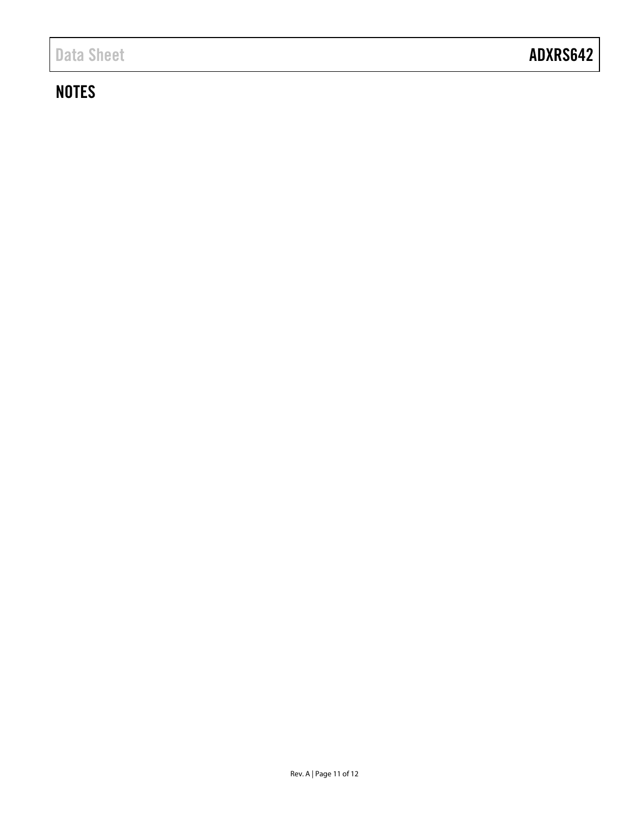# **NOTES**